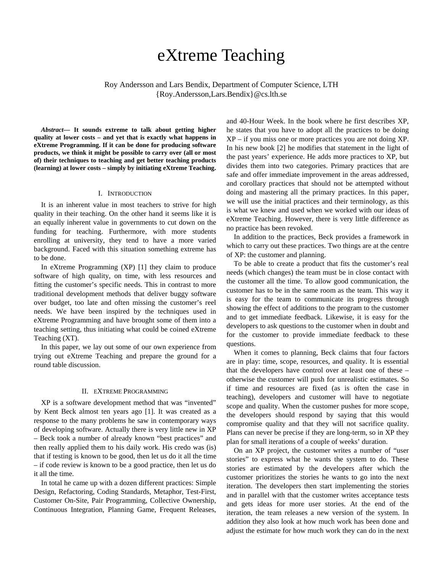# eXtreme Teaching

Roy Andersson and Lars Bendix, Department of Computer Science, LTH {Roy.Andersson,Lars.Bendix}@cs.lth.se

*Abstract***— It sounds extreme to talk about getting higher quality at lower costs – and yet that is exactly what happens in eXtreme Programming. If it can be done for producing software products, we think it might be possible to carry over (all or most of) their techniques to teaching and get better teaching products (learning) at lower costs – simply by initiating eXtreme Teaching.** 

#### I. INTRODUCTION

It is an inherent value in most teachers to strive for high quality in their teaching. On the other hand it seems like it is an equally inherent value in governments to cut down on the funding for teaching. Furthermore, with more students enrolling at university, they tend to have a more varied background. Faced with this situation something extreme has to be done.

In eXtreme Programming (XP) [1] they claim to produce software of high quality, on time, with less resources and fitting the customer's specific needs. This in contrast to more traditional development methods that deliver buggy software over budget, too late and often missing the customer's reel needs. We have been inspired by the techniques used in eXtreme Programming and have brought some of them into a teaching setting, thus initiating what could be coined eXtreme Teaching (XT).

In this paper, we lay out some of our own experience from trying out eXtreme Teaching and prepare the ground for a round table discussion.

### II. EXTREME PROGRAMMING

XP is a software development method that was "invented" by Kent Beck almost ten years ago [1]. It was created as a response to the many problems he saw in contemporary ways of developing software. Actually there is very little new in XP – Beck took a number of already known "best practices" and then really applied them to his daily work. His credo was (is) that if testing is known to be good, then let us do it all the time – if code review is known to be a good practice, then let us do it all the time.

In total he came up with a dozen different practices: Simple Design, Refactoring, Coding Standards, Metaphor, Test-First, Customer On-Site, Pair Programming, Collective Ownership, Continuous Integration, Planning Game, Frequent Releases, and 40-Hour Week. In the book where he first describes XP, he states that you have to adopt all the practices to be doing XP – if you miss one or more practices you are not doing XP. In his new book [2] he modifies that statement in the light of the past years' experience. He adds more practices to XP, but divides them into two categories. Primary practices that are safe and offer immediate improvement in the areas addressed, and corollary practices that should not be attempted without doing and mastering all the primary practices. In this paper, we will use the initial practices and their terminology, as this is what we knew and used when we worked with our ideas of eXtreme Teaching. However, there is very little difference as no practice has been revoked.

In addition to the practices, Beck provides a framework in which to carry out these practices. Two things are at the centre of XP: the customer and planning.

To be able to create a product that fits the customer's real needs (which changes) the team must be in close contact with the customer all the time. To allow good communication, the customer has to be in the same room as the team. This way it is easy for the team to communicate its progress through showing the effect of additions to the program to the customer and to get immediate feedback. Likewise, it is easy for the developers to ask questions to the customer when in doubt and for the customer to provide immediate feedback to these questions.

When it comes to planning, Beck claims that four factors are in play: time, scope, resources, and quality. It is essential that the developers have control over at least one of these – otherwise the customer will push for unrealistic estimates. So if time and resources are fixed (as is often the case in teaching), developers and customer will have to negotiate scope and quality. When the customer pushes for more scope, the developers should respond by saying that this would compromise quality and that they will not sacrifice quality. Plans can never be precise if they are long-term, so in XP they plan for small iterations of a couple of weeks' duration.

On an XP project, the customer writes a number of "user stories" to express what he wants the system to do. These stories are estimated by the developers after which the customer prioritizes the stories he wants to go into the next iteration. The developers then start implementing the stories and in parallel with that the customer writes acceptance tests and gets ideas for more user stories. At the end of the iteration, the team releases a new version of the system. In addition they also look at how much work has been done and adjust the estimate for how much work they can do in the next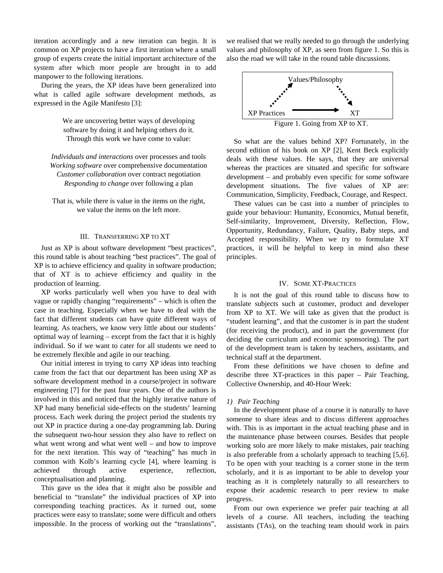iteration accordingly and a new iteration can begin. It is common on XP projects to have a first iteration where a small group of experts create the initial important architecture of the system after which more people are brought in to add manpower to the following iterations.

During the years, the XP ideas have been generalized into what is called agile software development methods, as expressed in the Agile Manifesto [3]:

> We are uncovering better ways of developing software by doing it and helping others do it. Through this work we have come to value:

*Individuals and interactions* over processes and tools *Working software* over comprehensive documentation *Customer collaboration* over contract negotiation *Responding to change* over following a plan

That is, while there is value in the items on the right, we value the items on the left more.

#### III. TRANSFERRING XP TO XT

Just as XP is about software development "best practices", this round table is about teaching "best practices". The goal of XP is to achieve efficiency and quality in software production; that of XT is to achieve efficiency and quality in the production of learning.

XP works particularly well when you have to deal with vague or rapidly changing "requirements" – which is often the case in teaching. Especially when we have to deal with the fact that different students can have quite different ways of learning. As teachers, we know very little about our students' optimal way of learning – except from the fact that it is highly individual. So if we want to cater for all students we need to be extremely flexible and agile in our teaching.

Our initial interest in trying to carry XP ideas into teaching came from the fact that our department has been using XP as software development method in a course/project in software engineering [7] for the past four years. One of the authors is involved in this and noticed that the highly iterative nature of XP had many beneficial side-effects on the students' learning process. Each week during the project period the students try out XP in practice during a one-day programming lab. During the subsequent two-hour session they also have to reflect on what went wrong and what went well – and how to improve for the next iteration. This way of "teaching" has much in common with Kolb's learning cycle [4], where learning is achieved through active experience, reflection, conceptualisation and planning.

This gave us the idea that it might also be possible and beneficial to "translate" the individual practices of XP into corresponding teaching practices. As it turned out, some practices were easy to translate; some were difficult and others impossible. In the process of working out the "translations",

we realised that we really needed to go through the underlying values and philosophy of XP, as seen from figure 1. So this is also the road we will take in the round table discussions.



So what are the values behind XP? Fortunately, in the second edition of his book on XP [2], Kent Beck explicitly deals with these values. He says, that they are universal whereas the practices are situated and specific for software development – and probably even specific for some software development situations. The five values of XP are: Communication, Simplicity, Feedback, Courage, and Respect.

These values can be cast into a number of principles to guide your behaviour: Humanity, Economics, Mutual benefit, Self-similarity, Improvement, Diversity, Reflection, Flow, Opportunity, Redundancy, Failure, Quality, Baby steps, and Accepted responsibility. When we try to formulate XT practices, it will be helpful to keep in mind also these principles.

## IV. SOME XT-PRACTICES

It is not the goal of this round table to discuss how to translate subjects such at customer, product and developer from XP to XT. We will take as given that the product is "student learning", and that the customer is in part the student (for receiving the product), and in part the government (for deciding the curriculum and economic sponsoring). The part of the development team is taken by teachers, assistants, and technical staff at the department.

From these definitions we have chosen to define and describe three XT-practices in this paper – Pair Teaching, Collective Ownership, and 40-Hour Week:

### *1) Pair Teaching*

In the development phase of a course it is naturally to have someone to share ideas and to discuss different approaches with. This is as important in the actual teaching phase and in the maintenance phase between courses. Besides that people working solo are more likely to make mistakes, pair teaching is also preferable from a scholarly approach to teaching [5,6]. To be open with your teaching is a corner stone in the term scholarly, and it is as important to be able to develop your teaching as it is completely naturally to all researchers to expose their academic research to peer review to make progress.

From our own experience we prefer pair teaching at all levels of a course. All teachers, including the teaching assistants (TAs), on the teaching team should work in pairs